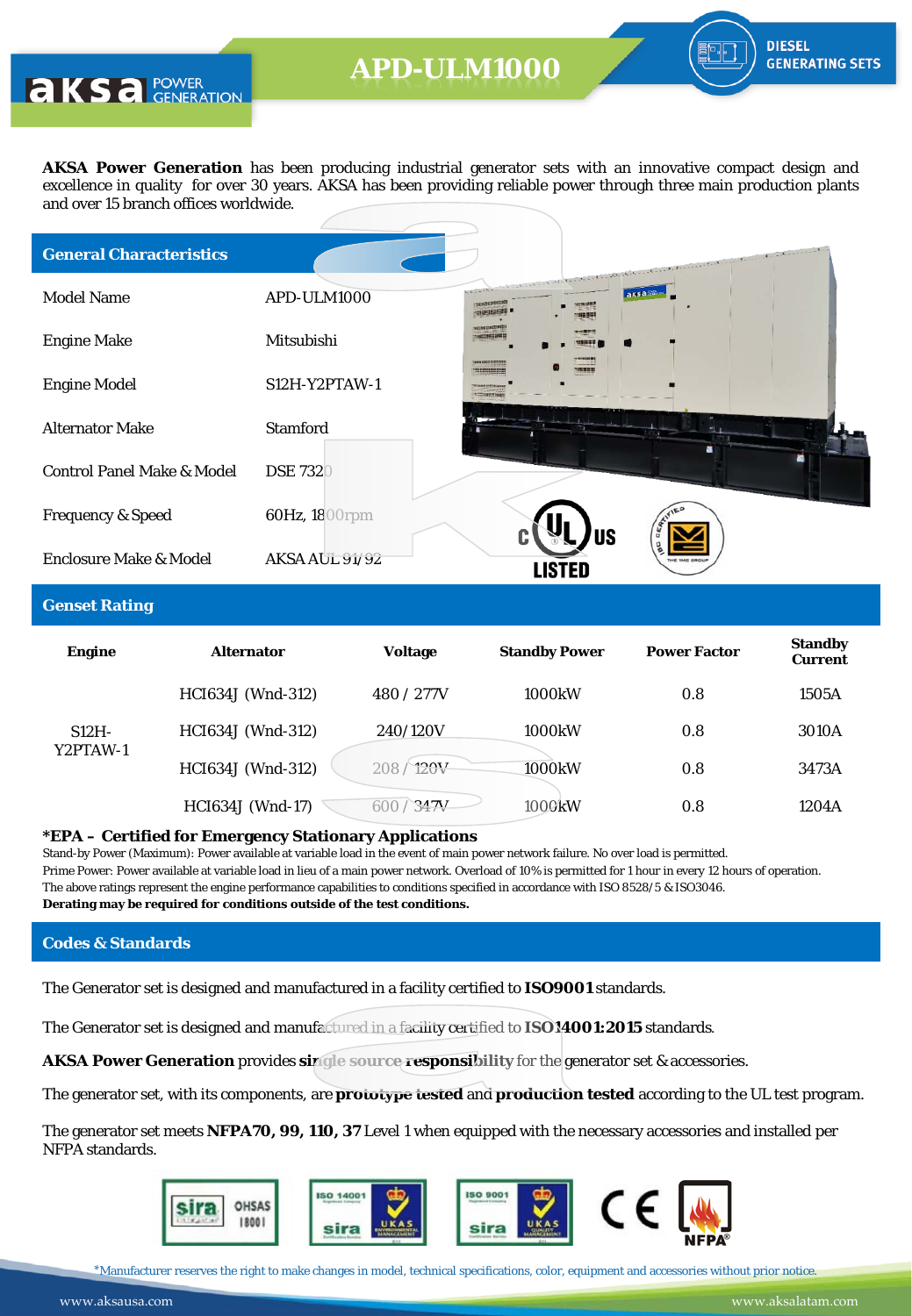**AKS** a POWER

**AKSA Power Generation** has been producing industrial generator sets with an innovative compact design and excellence in quality for over 30 years. AKSA has been providing reliable power through three main production plants and over 15 branch offices worldwide.

| <b>General Characteristics</b>        |                 |                        | Construction Co.<br>the contract of the collection of the collection of the contract of the collection of |  |
|---------------------------------------|-----------------|------------------------|-----------------------------------------------------------------------------------------------------------|--|
| <b>Model Name</b>                     | APD-ULM1000     | CELLE-<br>august 1611  | aksass                                                                                                    |  |
| <b>Engine Make</b>                    | Mitsubishi      | with machine and him   |                                                                                                           |  |
| <b>Engine Model</b>                   | S12H-Y2PTAW-1   | Where some are win and |                                                                                                           |  |
| <b>Alternator Make</b>                | <b>Stamford</b> |                        |                                                                                                           |  |
| <b>Control Panel Make &amp; Model</b> | <b>DSE 7320</b> |                        |                                                                                                           |  |
| <b>Frequency &amp; Speed</b>          | 60Hz, 1800rpm   |                        |                                                                                                           |  |
| Enclosure Make & Model                | AKSA AUL 91/92  |                        | <b>US</b>                                                                                                 |  |

#### **Genset Rating**

| <b>Engine</b>        | <b>Alternator</b>       | <b>Voltage</b> | <b>Standby Power</b> | <b>Power Factor</b> | <b>Standby</b><br><b>Current</b> |
|----------------------|-------------------------|----------------|----------------------|---------------------|----------------------------------|
|                      | HCI634J (Wnd-312)       | 480 / 277V     | 1000kW               | 0.8                 | 1505A                            |
| $S12H -$<br>Y2PTAW-1 | HCI634J (Wnd-312)       | 240/120V       | 1000kW               | 0.8                 | 3010A                            |
|                      | HCI634J (Wnd-312)       | /120V<br>208/  | 1000kW               | 0.8                 | 3473A                            |
|                      | <b>HCI634J</b> (Wnd-17) | 347V           | 1000kW               | 0.8                 | 1204A                            |

#### **\*EPA – Certified for Emergency Stationary Applications**

Stand-by Power (Maximum): Power available at variable load in the event of main power network failure. No over load is permitted. Prime Power: Power available at variable load in lieu of a main power network. Overload of 10% is permitted for 1 hour in every 12 hours of operation. The above ratings represent the engine performance capabilities to conditions specified in accordance with ISO 8528/5 & ISO3046. **Derating may be required for conditions outside of the test conditions.**

#### **Codes & Standards**

The Generator set is designed and manufactured in a facility certified to **ISO9001** standards.

The Generator set is designed and manufactured in a facility certified to **ISO14001:2015** standards.

**AKSA Power Generation** provides **single source responsibility** for the generator set & accessories.

The generator set, with its components, are **prototype tested** and **production tested** according to the UL test program.

The generator set meets **NFPA70, 99, 110, 37** Level 1 when equipped with the necessary accessories and installed per NFPA standards.



\*Manufacturer reserves the right to make changes in model, technical specifications, color, equipment and accessories without prior notice.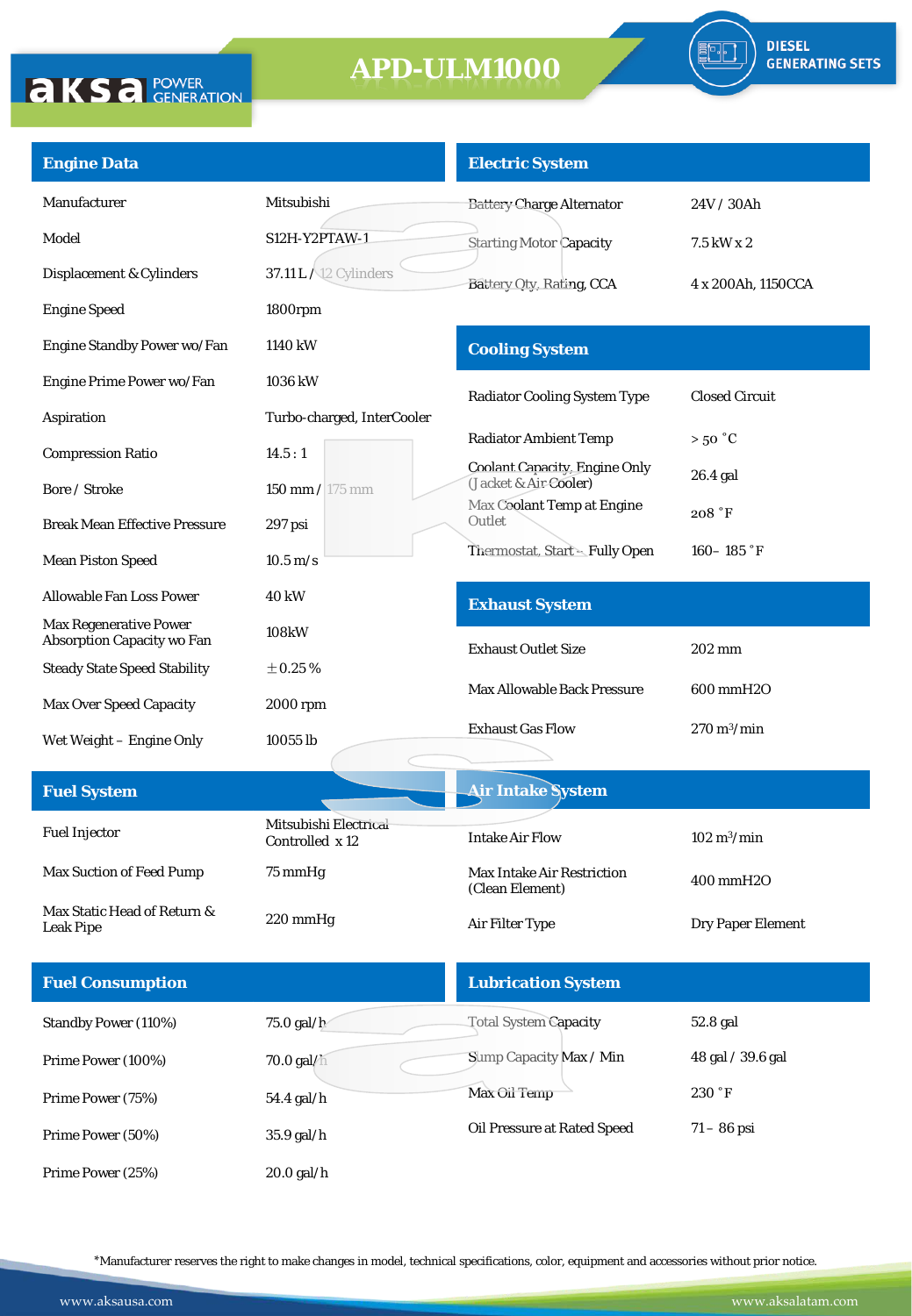

| <b>Engine Data</b>                                                 |                                          | <b>Electric System</b>                                               |                              |
|--------------------------------------------------------------------|------------------------------------------|----------------------------------------------------------------------|------------------------------|
| Manufacturer                                                       | Mitsubishi                               | <b>Battery Charge Alternator</b>                                     | 24V / 30Ah                   |
| Model                                                              | <b>S12H-Y2PTAW-1</b>                     | <b>Starting Motor Capacity</b>                                       | 7.5 kW x 2                   |
| Displacement & Cylinders                                           | 37.11 L / 12 Cylinders                   | Battery Oty, Rating, CCA                                             | 4 x 200Ah, 1150CCA           |
| <b>Engine Speed</b>                                                | 1800rpm                                  |                                                                      |                              |
| Engine Standby Power wo/Fan                                        | 1140 kW                                  | <b>Cooling System</b>                                                |                              |
| Engine Prime Power wo/Fan                                          | 1036 kW                                  | <b>Radiator Cooling System Type</b>                                  | <b>Closed Circuit</b>        |
| Aspiration                                                         | Turbo-charged, InterCooler               |                                                                      |                              |
| <b>Compression Ratio</b>                                           | 14.5:1                                   | <b>Radiator Ambient Temp</b><br><b>Coolant Capacity, Engine Only</b> | $>50\degree C$               |
| Bore / Stroke                                                      | $150 \text{ mm} / 175 \text{ mm}$        | (Jacket & Air-Cooler)<br>Max Coolant Temp at Engine                  | 26.4 gal                     |
| <b>Break Mean Effective Pressure</b>                               | 297 psi                                  | Outlet                                                               | 208 °F                       |
| <b>Mean Piston Speed</b>                                           | $10.5 \text{ m/s}$                       | Thermostat, Start - Fully Open                                       | $160 - 185$ °F               |
| Allowable Fan Loss Power                                           | 40 kW                                    | <b>Exhaust System</b>                                                |                              |
| <b>Max Regenerative Power</b><br><b>Absorption Capacity wo Fan</b> | 108kW                                    |                                                                      |                              |
| <b>Steady State Speed Stability</b>                                | $\pm 0.25\,\%$                           | <b>Exhaust Outlet Size</b>                                           | 202 mm                       |
| <b>Max Over Speed Capacity</b>                                     | 2000 rpm                                 | <b>Max Allowable Back Pressure</b>                                   | 600 mmH2O                    |
| Wet Weight - Engine Only                                           | 10055 lb                                 | <b>Exhaust Gas Flow</b>                                              | $270 \text{ m}^3/\text{min}$ |
|                                                                    |                                          |                                                                      |                              |
| <b>Fuel System</b>                                                 |                                          | <b>Air Intake System</b>                                             |                              |
| <b>Fuel Injector</b>                                               | Mitsubishi Electrical<br>Controlled x 12 | <b>Intake Air Flow</b>                                               | $102 \text{ m}^3/\text{min}$ |
| Max Suction of Feed Pump                                           | 75 mmHg                                  | <b>Max Intake Air Restriction</b><br>(Clean Element)                 | 400 mmH2O                    |
| Max Static Head of Return &                                        | 220 mmHg                                 | Air Filter Type                                                      | Dry Paper Element            |
| <b>Leak Pipe</b>                                                   |                                          |                                                                      |                              |
| <b>Fuel Consumption</b>                                            |                                          | <b>Lubrication System</b>                                            |                              |
| <b>Standby Power (110%)</b>                                        | 75.0 gal/ $h$                            | <b>Total System Capacity</b>                                         | 52.8 gal                     |
| Prime Power (100%)                                                 | 70.0 gal/h                               | Sump Capacity Max / Min                                              | 48 gal / 39.6 gal            |
| Prime Power (75%)                                                  | 54.4 gal/h                               | <b>Max Oil Temp</b>                                                  | 230 °F                       |
| Prime Power (50%)                                                  | 35.9 gal/h                               | Oil Pressure at Rated Speed                                          | $71 - 86$ psi                |
| Prime Power (25%)                                                  | $20.0$ gal/h                             |                                                                      |                              |

\*Manufacturer reserves the right to make changes in model, technical specifications, color, equipment and accessories without prior notice.

**AKSA POWER**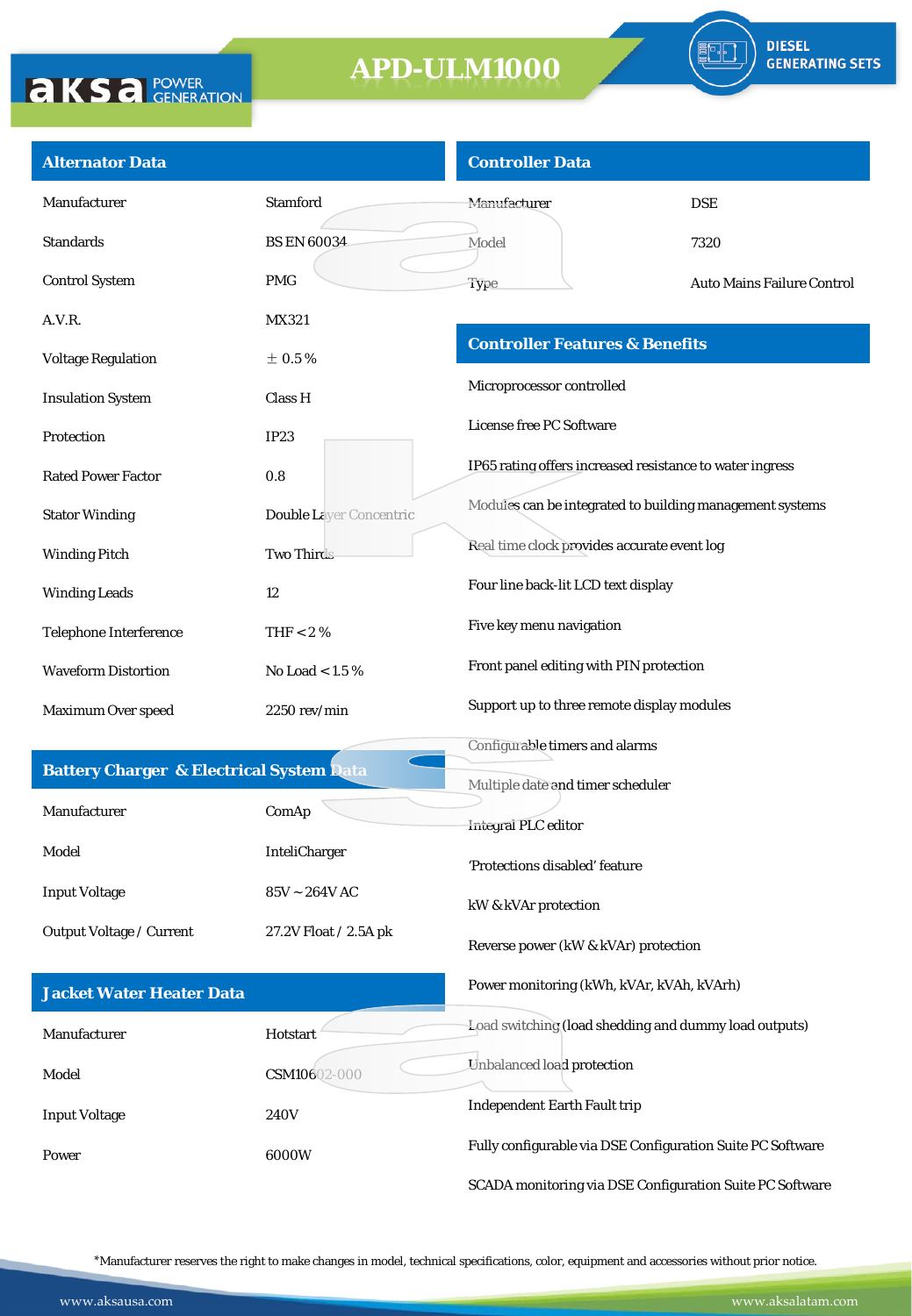

| <b>Alternator Data</b>                              |                                      | <b>Controller Data</b>                                     |                                   |
|-----------------------------------------------------|--------------------------------------|------------------------------------------------------------|-----------------------------------|
| Manufacturer                                        | <b>Stamford</b>                      | Manufacturer                                               | <b>DSE</b>                        |
| <b>Standards</b>                                    | <b>BS EN 60034</b>                   | Model                                                      | 7320                              |
| <b>Control System</b>                               | <b>PMG</b>                           | Type                                                       | <b>Auto Mains Failure Control</b> |
| A.V.R.                                              | MX321                                |                                                            |                                   |
| <b>Voltage Regulation</b>                           | $\pm$ 0.5%                           | <b>Controller Features &amp; Benefits</b>                  |                                   |
| <b>Insulation System</b>                            | Class H                              | Microprocessor controlled                                  |                                   |
| Protection                                          | IP23                                 | License free PC Software                                   |                                   |
| <b>Rated Power Factor</b>                           | 0.8                                  | IP65 rating offers increased resistance to water ingress   |                                   |
| <b>Stator Winding</b>                               | <b>Double Laver Concentric</b>       | Modules can be integrated to building management systems   |                                   |
| <b>Winding Pitch</b>                                | <b>Two Thirds</b>                    | Real time clock provides accurate event log                |                                   |
| <b>Winding Leads</b>                                | 12                                   | Four line back-lit LCD text display                        |                                   |
| Telephone Interference                              | THF $< 2 \%$                         | Five key menu navigation                                   |                                   |
| <b>Waveform Distortion</b>                          | No Load $< 1.5 \%$                   | Front panel editing with PIN protection                    |                                   |
| Maximum Over speed                                  | $2250$ rev/min                       | Support up to three remote display modules                 |                                   |
|                                                     |                                      | Configurable timers and alarms                             |                                   |
| <b>Battery Charger &amp; Electrical System Data</b> |                                      | Multiple date and timer scheduler                          |                                   |
| Manufacturer                                        | ComAp                                | <b>Integral PLC</b> editor                                 |                                   |
| Model                                               | InteliCharger                        | 'Protections disabled' feature                             |                                   |
| <b>Input Voltage</b>                                | $85\textrm{V} \sim 264\textrm{V}$ AC | kW & kVAr protection                                       |                                   |
| Output Voltage / Current                            | 27.2V Float / 2.5A pk                | Reverse power (kW & kVAr) protection                       |                                   |
| <b>Jacket Water Heater Data</b>                     |                                      | Power monitoring (kWh, kVAr, kVAh, kVArh)                  |                                   |
| Manufacturer                                        | Hotstart                             | Load switching (load shedding and dummy load outputs)      |                                   |
| Model                                               | CSM10602-000                         | Unbalanced load protection                                 |                                   |
| <b>Input Voltage</b>                                | 240V                                 | <b>Independent Earth Fault trip</b>                        |                                   |
| Power                                               | 6000W                                | Fully configurable via DSE Configuration Suite PC Software |                                   |
|                                                     |                                      | SCADA monitoring via DSE Configuration Suite PC Software   |                                   |

\*Manufacturer reserves the right to make changes in model, technical specifications, color, equipment and accessories without prior notice.

**AKSA POWER**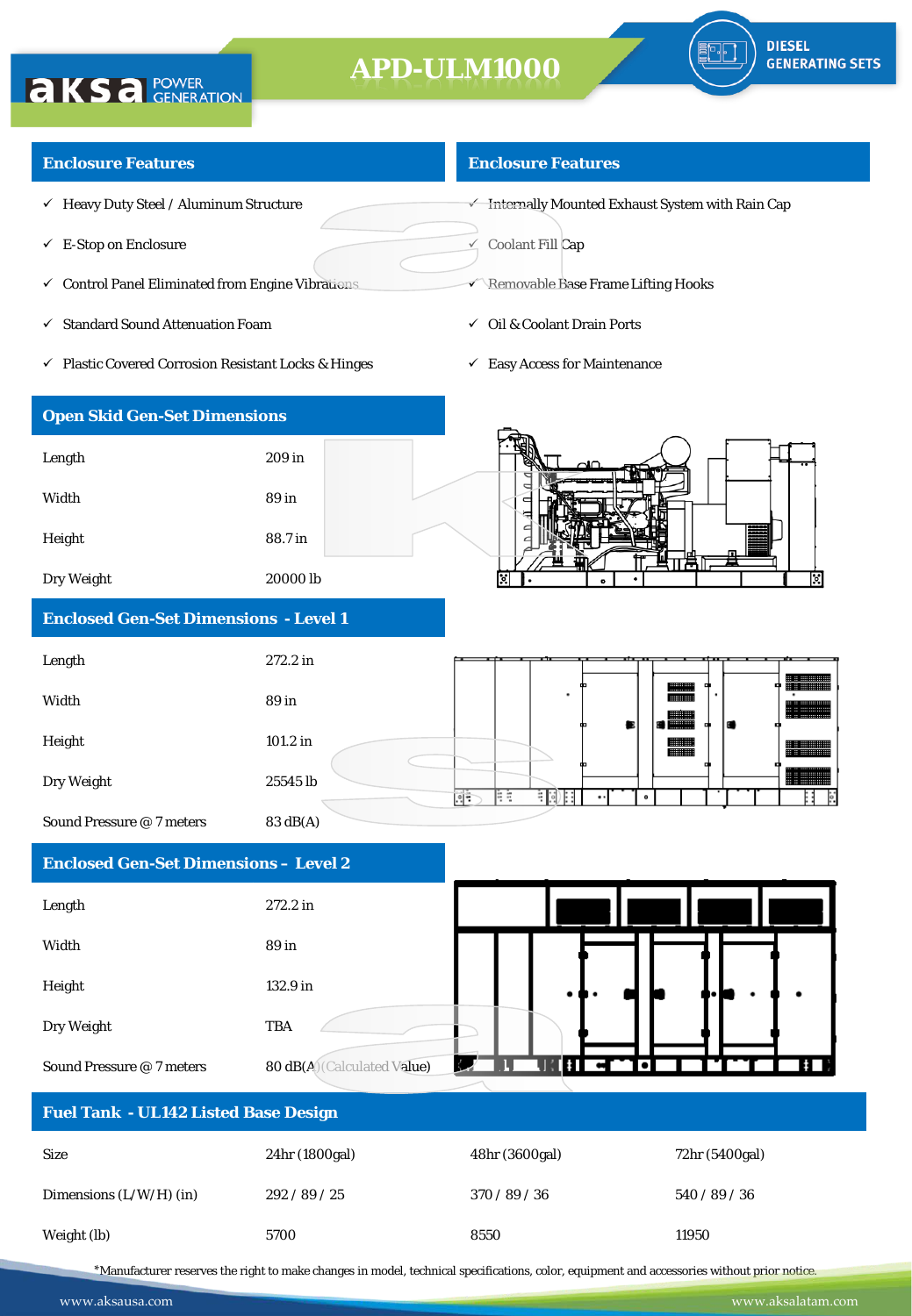

#### **Enclosure Features**

**AKSA POWER** 

- $\checkmark$  Heavy Duty Steel / Aluminum Structure
- $\checkmark$  E-Stop on Enclosure
- $\checkmark$  Control Panel Eliminated from Engine Vibrations
- $\checkmark$  Standard Sound Attenuation Foam

**Open Skid Gen-Set Dimensions**

Length 209 in

Width 89 in

Height 88.7 in

Dry Weight 20000 lb

**Enclosed Gen-Set Dimensions - Level 1**

Plastic Covered Corrosion Resistant Locks & Hinges

#### **Enclosure Features**

 $\overline{\mathbf{v}}$  Internally Mounted Exhaust System with Rain Cap

 $\leq$  Coolant Fill Cap

- Removable Base Frame Lifting Hooks
- $\checkmark$  Oil & Coolant Drain Ports
- $\checkmark$  Easy Access for Maintenance



### Length 272.2 in Width 89 in Height 101.2 in الاست<br>التالي Dry Weight 25545 lb Œ Þ 铜用 Sound Pressure @ 7 meters 83 dB(A)

### **Enclosed Gen-Set Dimensions – Level 2**

| Length                    | 272.2 in                    |                                        |   |        |           |  |               |
|---------------------------|-----------------------------|----------------------------------------|---|--------|-----------|--|---------------|
| Width                     | 89 in                       |                                        |   |        |           |  |               |
| Height                    | 132.9 in                    |                                        |   |        |           |  |               |
| Dry Weight                | <b>TBA</b>                  |                                        |   |        |           |  |               |
| Sound Pressure @ 7 meters | 80 dB(A) (Calculated Value) | $\sqrt{2}$<br>$\overline{\phantom{0}}$ | V | K STEP | $\bullet$ |  | $\frac{1}{2}$ |

| <b>Fuel Tank - UL142 Listed Base Design</b> |                |                |                |  |  |
|---------------------------------------------|----------------|----------------|----------------|--|--|
| <b>Size</b>                                 | 24hr (1800gal) | 48hr (3600gal) | 72hr (5400gal) |  |  |
| Dimensions $(L/W/H)$ (in)                   | 292 / 89 / 25  | 370/89/36      | 540/89/36      |  |  |
| Weight (lb)                                 | 5700           | 8550           | 11950          |  |  |

\*Manufacturer reserves the right to make changes in model, technical specifications, color, equipment and accessories without prior notice.